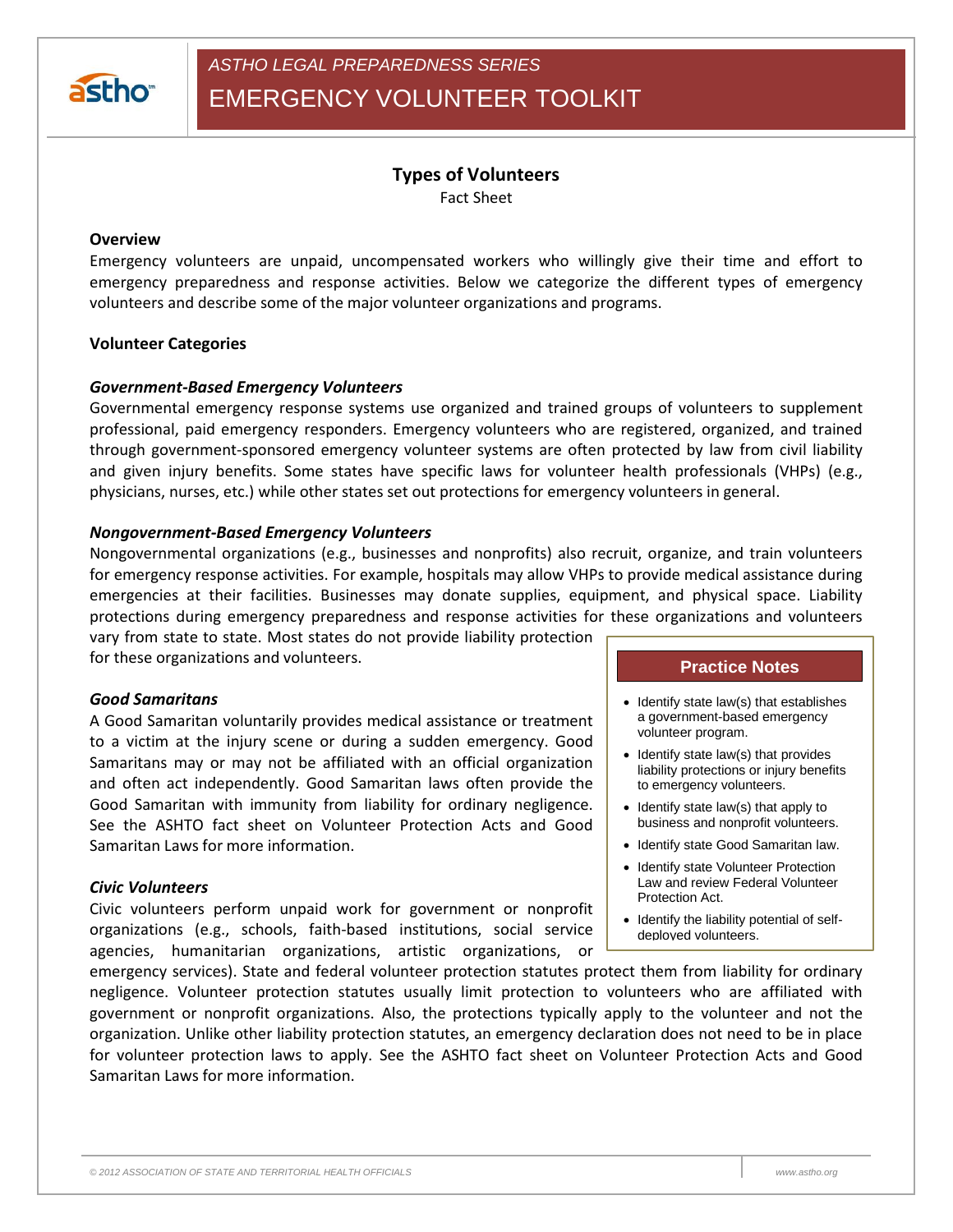

*ASTHO LEGAL PREPAREDNESS SERIES*

EMERGENCY VOLUNTEER TOOLKIT

# **Types of Volunteers**

Fact Sheet

#### **Overview**

Emergency volunteers are unpaid, uncompensated workers who willingly give their time and effort to emergency preparedness and response activities. Below we categorize the different types of emergency volunteers and describe some of the major volunteer organizations and programs.

### **Volunteer Categories**

### *Government-Based Emergency Volunteers*

Governmental emergency response systems use organized and trained groups of volunteers to supplement professional, paid emergency responders. Emergency volunteers who are registered, organized, and trained through government-sponsored emergency volunteer systems are often protected by law from civil liability and given injury benefits. Some states have specific laws for volunteer health professionals (VHPs) (e.g., physicians, nurses, etc.) while other states set out protections for emergency volunteers in general.

### *Nongovernment-Based Emergency Volunteers*

Nongovernmental organizations (e.g., businesses and nonprofits) also recruit, organize, and train volunteers for emergency response activities. For example, hospitals may allow VHPs to provide medical assistance during emergencies at their facilities. Businesses may donate supplies, equipment, and physical space. Liability protections during emergency preparedness and response activities for these organizations and volunteers

vary from state to state. Most states do not provide liability protection for these organizations and volunteers.

#### *Good Samaritans*

A Good Samaritan voluntarily provides medical assistance or treatment to a victim at the injury scene or during a sudden emergency. Good Samaritans may or may not be affiliated with an official organization and often act independently. Good Samaritan laws often provide the Good Samaritan with immunity from liability for ordinary negligence. See the ASHTO fact sheet on Volunteer Protection Acts and Good Samaritan Laws for more information.

#### *Civic Volunteers*

Civic volunteers perform unpaid work for government or nonprofit organizations (e.g., schools, faith-based institutions, social service agencies, humanitarian organizations, artistic organizations, or

#### **Practice Notes**

- $\bullet$  Identify state law(s) that establishes a government-based emergency volunteer program.
- $\bullet$  Identify state law(s) that provides liability protections or injury benefits to emergency volunteers.
- $\bullet$  Identify state law(s) that apply to business and nonprofit volunteers.
- Identify state Good Samaritan law.
- Identify state Volunteer Protection Law and review Federal Volunteer Protection Act.
- Identify the liability potential of selfdeployed volunteers.

emergency services). State and federal volunteer protection statutes protect them from liability for ordinary negligence. Volunteer protection statutes usually limit protection to volunteers who are affiliated with government or nonprofit organizations. Also, the protections typically apply to the volunteer and not the organization. Unlike other liability protection statutes, an emergency declaration does not need to be in place for volunteer protection laws to apply. See the ASHTO fact sheet on Volunteer Protection Acts and Good Samaritan Laws for more information.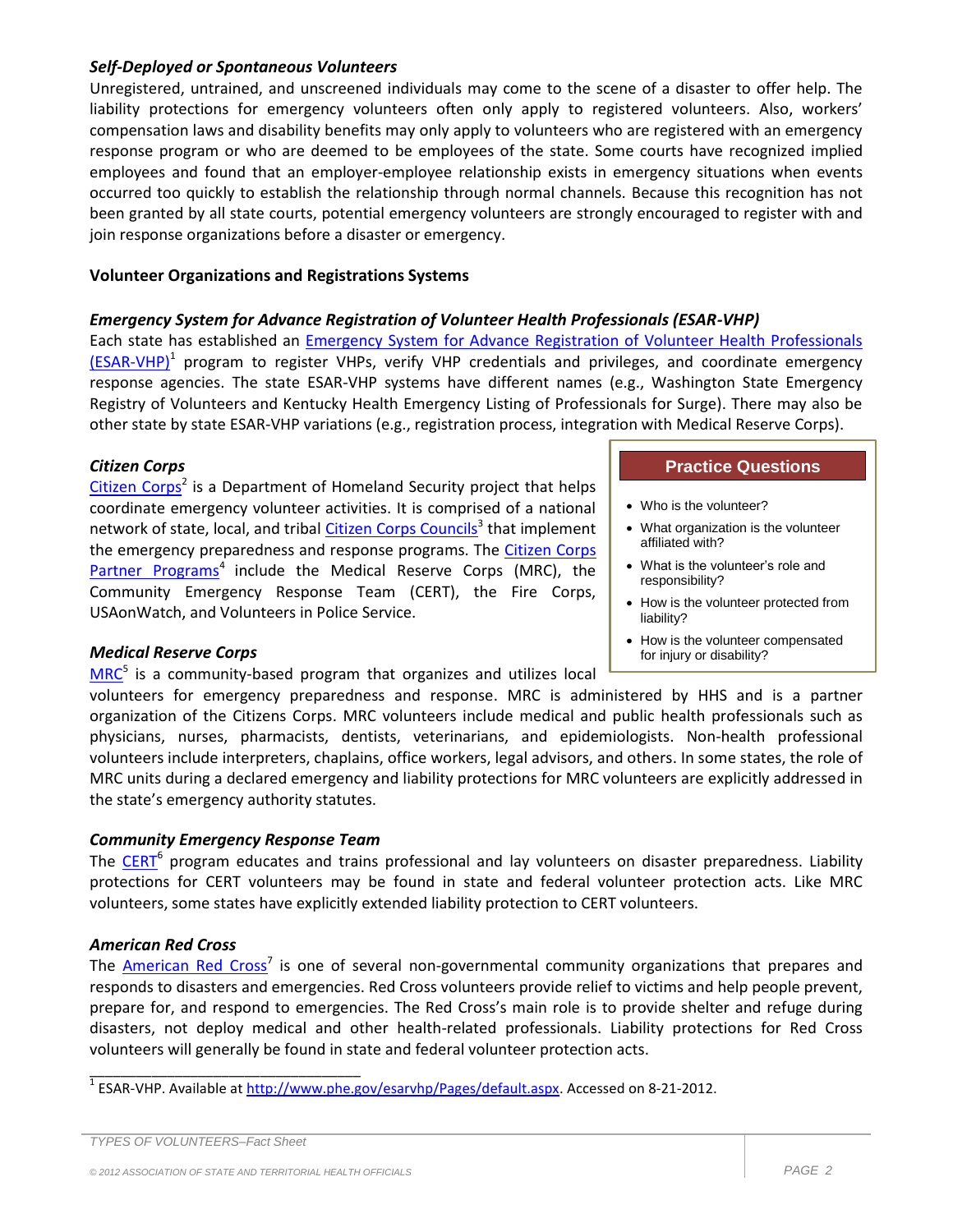# *Self-Deployed or Spontaneous Volunteers*

Unregistered, untrained, and unscreened individuals may come to the scene of a disaster to offer help. The liability protections for emergency volunteers often only apply to registered volunteers. Also, workers' compensation laws and disability benefits may only apply to volunteers who are registered with an emergency response program or who are deemed to be employees of the state. Some courts have recognized implied employees and found that an employer-employee relationship exists in emergency situations when events occurred too quickly to establish the relationship through normal channels. Because this recognition has not been granted by all state courts, potential emergency volunteers are strongly encouraged to register with and join response organizations before a disaster or emergency.

# **Volunteer Organizations and Registrations Systems**

# *Emergency System for Advance Registration of Volunteer Health Professionals (ESAR-VHP)*

Each state has established an [Emergency System for Advance Registration of Volunteer Health Professionals](http://www.phe.gov/esarvhp/Pages/default.aspx)  [\(ESAR-VHP\)](http://www.phe.gov/esarvhp/Pages/default.aspx)<sup>1</sup> program to register VHPs, verify VHP credentials and privileges, and coordinate emergency response agencies. The state ESAR-VHP systems have different names (e.g., Washington State Emergency Registry of Volunteers and Kentucky Health Emergency Listing of Professionals for Surge). There may also be other state by state ESAR-VHP variations (e.g., registration process, integration with Medical Reserve Corps).

### *Citizen Corps*

[Citizen Corps](http://www.citizencorps.gov/)<sup>2</sup> is a Department of Homeland Security project that helps coordinate emergency volunteer activities. It is comprised of a national network of state, local, and tribal *Citizen Corps Councils*<sup>3</sup> that implement the emergency preparedness and response programs. The [Citizen Corps](http://www.citizencorps.gov/citizencorps/partners/paindex.shtm)  [Partner Programs](http://www.citizencorps.gov/citizencorps/partners/paindex.shtm)<sup>4</sup> include the Medical Reserve Corps (MRC), the Community Emergency Response Team (CERT), the Fire Corps, USAonWatch, and Volunteers in Police Service.

# *Medical Reserve Corps*

[MRC](http://www.medicalreservecorps.gov/)<sup>5</sup> is a community-based program that organizes and utilizes local

# volunteers for emergency preparedness and response. MRC is administered by HHS and is a partner organization of the Citizens Corps. MRC volunteers include medical and public health professionals such as physicians, nurses, pharmacists, dentists, veterinarians, and epidemiologists. Non-health professional volunteers include interpreters, chaplains, office workers, legal advisors, and others. In some states, the role of MRC units during a declared emergency and liability protections for MRC volunteers are explicitly addressed in the state's emergency authority statutes.

# *Community Emergency Response Team*

The [CERT](http://www.citizencorps.gov/cert/index.shtm)<sup>6</sup> program educates and trains professional and lay volunteers on disaster preparedness. Liability protections for CERT volunteers may be found in state and federal volunteer protection acts. Like MRC volunteers, some states have explicitly extended liability protection to CERT volunteers.

# *American Red Cross*

The **American Red Cross<sup>7</sup> is one of several non-governmental community organizations that prepares and** responds to disasters and emergencies. Red Cross volunteers provide relief to victims and help people prevent, prepare for, and respond to emergencies. The Red Cross's main role is to provide shelter and refuge during disasters, not deploy medical and other health-related professionals. Liability protections for Red Cross volunteers will generally be found in state and federal volunteer protection acts.

\_\_\_\_\_\_\_\_\_\_\_\_\_\_\_\_\_\_\_\_\_\_\_\_\_\_\_\_\_\_\_\_\_\_\_

#### **Practice Questions**

- Who is the volunteer?
- What organization is the volunteer affiliated with?
- What is the volunteer's role and responsibility?
- How is the volunteer protected from liability?
- How is the volunteer compensated for injury or disability?

<sup>&</sup>lt;sup>1</sup> ESAR-VHP. Available a[t http://www.phe.gov/esarvhp/Pages/default.aspx.](http://www.phe.gov/esarvhp/Pages/default.aspx) Accessed on 8-21-2012.